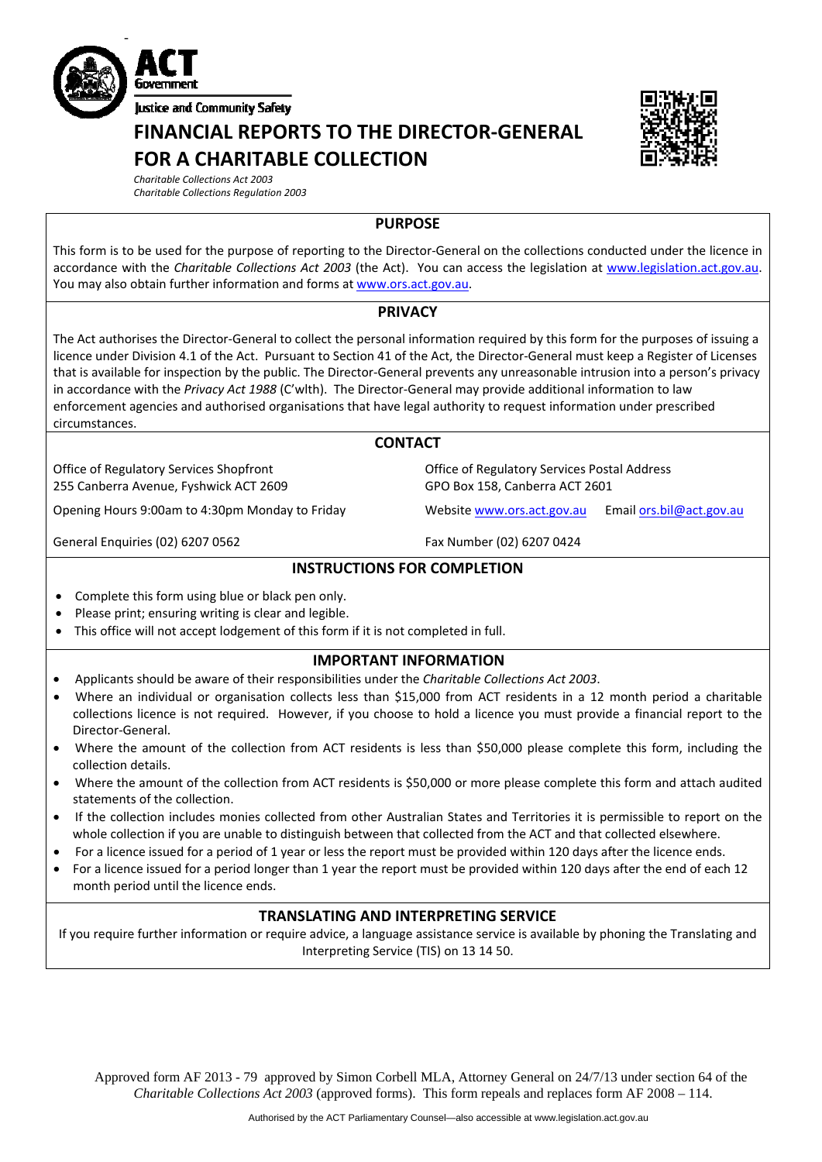

**FINANCIAL REPORTS TO THE DIRECTOR‐GENERAL FOR A CHARITABLE COLLECTION**



*Charitable Collections Act 2003 Charitable Collections Regulation 2003*

## **PURPOSE**

This form is to be used for the purpose of reporting to the Director‐General on the collections conducted under the licence in accordance with the *Charitable Collections Act 2003* (the Act). You can access the legislation at [www.legislation.act.gov.au.](http://www.legislation.act.gov.au/) You may also obtain further information and forms at [www.ors.act.gov.au.](http://www.ors.act.gov.au/)

## **PRIVACY**

The Act authorises the Director‐General to collect the personal information required by this form for the purposes of issuing a licence under Division 4.1 of the Act. Pursuant to Section 41 of the Act, the Director‐General must keep a Register of Licenses that is available for inspection by the public. The Director‐General prevents any unreasonable intrusion into a person's privacy in accordance with the *Privacy Act 1988* (C'wlth). The Director‐General may provide additional information to law enforcement agencies and authorised organisations that have legal authority to request information under prescribed circumstances.

## **CONTACT**

Office of Regulatory Services Postal Address

GPO Box 158, Canberra ACT 2601

Office of Regulatory Services Shopfront 255 Canberra Avenue, Fyshwick ACT 2609

Opening Hours 9:00am to 4:30pm Monday to Friday Website [www.ors.act.gov.au](http://www.ors.act.gov.au/) Email [ors.bil@act.gov.au](mailto:ors.bil@act.gov.au)

General Enquiries (02) 6207 0562 Fax Number (02) 6207 0424

## **INSTRUCTIONS FOR COMPLETION**

- Complete this form using blue or black pen only.
- Please print; ensuring writing is clear and legible.
- This office will not accept lodgement of this form if it is not completed in full.

#### **IMPORTANT INFORMATION**

- Applicants should be aware of their responsibilities under the *Charitable Collections Act 2003*.
- Where an individual or organisation collects less than \$15,000 from ACT residents in a 12 month period a charitable collections licence is not required. However, if you choose to hold a licence you must provide a financial report to the Director‐General.
- Where the amount of the collection from ACT residents is less than \$50,000 please complete this form, including the collection details.
- Where the amount of the collection from ACT residents is \$50,000 or more please complete this form and attach audited statements of the collection.
- If the collection includes monies collected from other Australian States and Territories it is permissible to report on the whole collection if you are unable to distinguish between that collected from the ACT and that collected elsewhere.
- For a licence issued for a period of 1 year or less the report must be provided within 120 days after the licence ends.
- For a licence issued for a period longer than 1 year the report must be provided within 120 days after the end of each 12 month period until the licence ends.

#### **TRANSLATING AND INTERPRETING SERVICE**

If you require further information or require advice, a language assistance service is available by phoning the Translating and Interpreting Service (TIS) on 13 14 50.

Approved form AF 2013 - 79 approved by Simon Corbell MLA, Attorney General on 24/7/13 under section 64 of the *Charitable Collections Act 2003* (approved forms). This form repeals and replaces form AF 2008 – 114.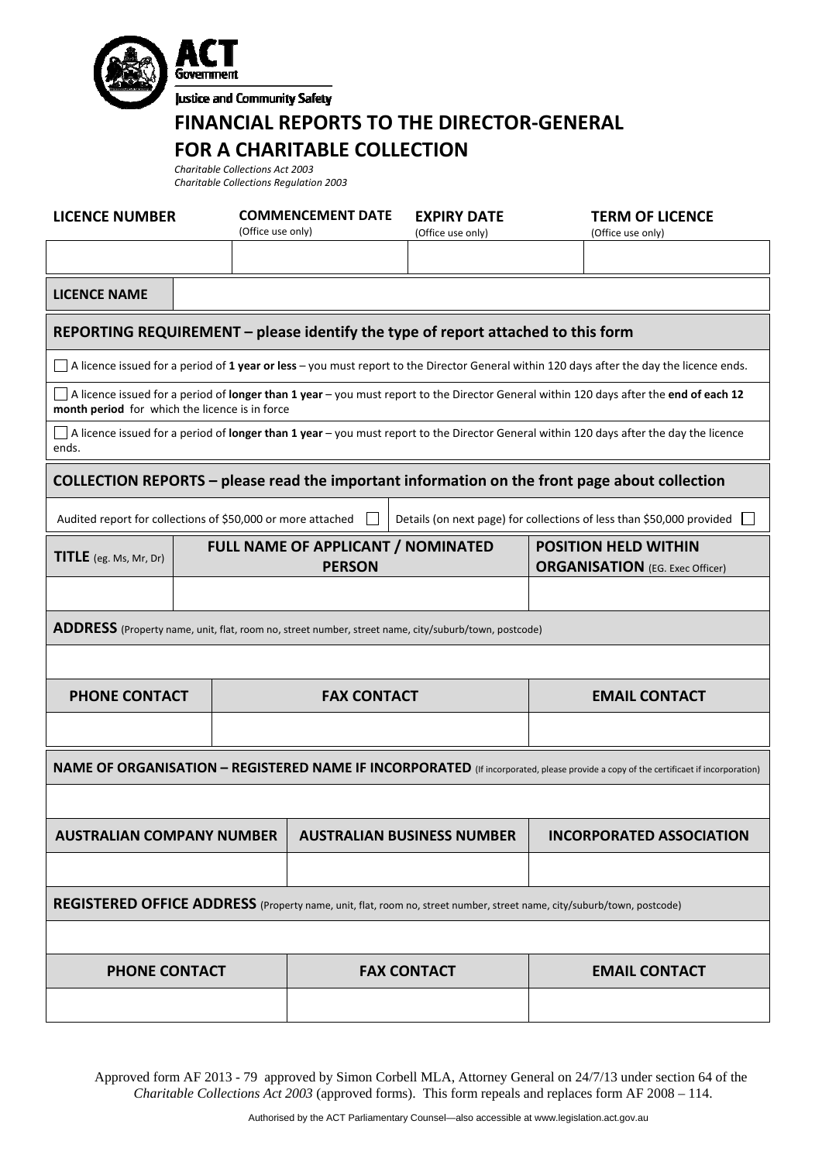



**Justice and Community Safety** 

# **FINANCIAL REPORTS TO THE DIRECTOR‐GENERAL FOR A CHARITABLE COLLECTION**

*Charitable Collections Act 2003 Charitable Collections Regulation 2003*

| <b>LICENCE NUMBER</b>                                                                                                                                                                    |                   | <b>COMMENCEMENT DATE</b>                                   | <b>EXPIRY DATE</b> | <b>TERM OF LICENCE</b>                                                |  |  |  |
|------------------------------------------------------------------------------------------------------------------------------------------------------------------------------------------|-------------------|------------------------------------------------------------|--------------------|-----------------------------------------------------------------------|--|--|--|
|                                                                                                                                                                                          | (Office use only) |                                                            | (Office use only)  | (Office use only)                                                     |  |  |  |
|                                                                                                                                                                                          |                   |                                                            |                    |                                                                       |  |  |  |
| <b>LICENCE NAME</b>                                                                                                                                                                      |                   |                                                            |                    |                                                                       |  |  |  |
| REPORTING REQUIREMENT - please identify the type of report attached to this form                                                                                                         |                   |                                                            |                    |                                                                       |  |  |  |
| A licence issued for a period of 1 year or less - you must report to the Director General within 120 days after the day the licence ends.                                                |                   |                                                            |                    |                                                                       |  |  |  |
| A licence issued for a period of longer than 1 year - you must report to the Director General within 120 days after the end of each 12<br>month period for which the licence is in force |                   |                                                            |                    |                                                                       |  |  |  |
| A licence issued for a period of longer than 1 year – you must report to the Director General within 120 days after the day the licence<br>ends.                                         |                   |                                                            |                    |                                                                       |  |  |  |
| COLLECTION REPORTS - please read the important information on the front page about collection                                                                                            |                   |                                                            |                    |                                                                       |  |  |  |
| Audited report for collections of \$50,000 or more attached<br>Details (on next page) for collections of less than \$50,000 provided                                                     |                   |                                                            |                    |                                                                       |  |  |  |
| <b>TITLE</b> (eg. Ms, Mr, Dr)                                                                                                                                                            |                   | <b>FULL NAME OF APPLICANT / NOMINATED</b><br><b>PERSON</b> |                    | <b>POSITION HELD WITHIN</b><br><b>ORGANISATION</b> (EG. Exec Officer) |  |  |  |
|                                                                                                                                                                                          |                   |                                                            |                    |                                                                       |  |  |  |
| ADDRESS (Property name, unit, flat, room no, street number, street name, city/suburb/town, postcode)                                                                                     |                   |                                                            |                    |                                                                       |  |  |  |
|                                                                                                                                                                                          |                   |                                                            |                    |                                                                       |  |  |  |
| <b>PHONE CONTACT</b>                                                                                                                                                                     |                   | <b>FAX CONTACT</b>                                         |                    | <b>EMAIL CONTACT</b>                                                  |  |  |  |
|                                                                                                                                                                                          |                   |                                                            |                    |                                                                       |  |  |  |
| <b>NAME OF ORGANISATION - REGISTERED NAME IF INCORPORATED</b> (If incorporated, please provide a copy of the certificaet if incorporation)                                               |                   |                                                            |                    |                                                                       |  |  |  |
|                                                                                                                                                                                          |                   |                                                            |                    |                                                                       |  |  |  |
| <b>AUSTRALIAN COMPANY NUMBER</b>                                                                                                                                                         |                   | <b>AUSTRALIAN BUSINESS NUMBER</b>                          |                    | <b>INCORPORATED ASSOCIATION</b>                                       |  |  |  |
|                                                                                                                                                                                          |                   |                                                            |                    |                                                                       |  |  |  |
| REGISTERED OFFICE ADDRESS (Property name, unit, flat, room no, street number, street name, city/suburb/town, postcode)                                                                   |                   |                                                            |                    |                                                                       |  |  |  |
|                                                                                                                                                                                          |                   |                                                            |                    |                                                                       |  |  |  |
| <b>PHONE CONTACT</b>                                                                                                                                                                     |                   |                                                            | <b>FAX CONTACT</b> | <b>EMAIL CONTACT</b>                                                  |  |  |  |
|                                                                                                                                                                                          |                   |                                                            |                    |                                                                       |  |  |  |

Approved form AF 2013 - 79 approved by Simon Corbell MLA, Attorney General on 24/7/13 under section 64 of the *Charitable Collections Act 2003* (approved forms). This form repeals and replaces form AF 2008 – 114.